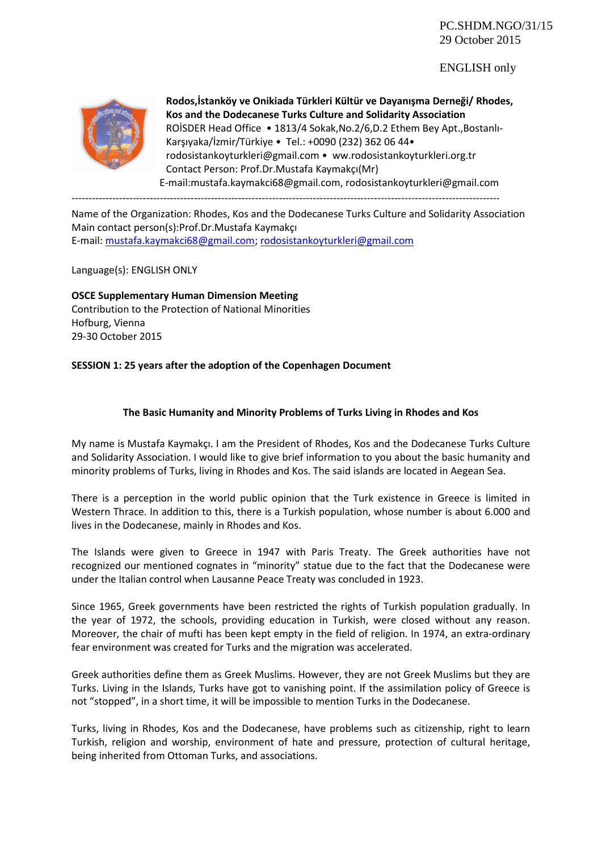PC.SHDM.NGO/31/15 29 October 2015

## ENGLISH only



**Rodos,İstanköy ve Onikiada Türkleri Kültür ve Dayanışma Derneği/ Rhodes, Kos and the Dodecanese Turks Culture and Solidarity Association** ROİSDER Head Office • 1813/4 Sokak,No.2/6,D.2 Ethem Bey Apt.,Bostanlı-Karşıyaka/İzmir/Türkiye • Tel.: +0090 (232) 362 06 44• rodosistankoyturkleri@gmail.com • ww.rodosistankoyturkleri.org.tr Contact Person: Prof.Dr.Mustafa Kaymakçı(Mr) E-mail:mustafa.kaymakci68@gmail.com, rodosistankoyturkleri@gmail.com

Name of the Organization: Rhodes, Kos and the Dodecanese Turks Culture and Solidarity Association Main contact person(s):Prof.Dr.Mustafa Kaymakçı E-mail: [mustafa.kaymakci68@gmail.com](mailto:mustafa.kaymakci68@gmail.com); [rodosistankoyturkleri@gmail.com](mailto:rodosistankoyturkleri@gmail.com)

Language(s): ENGLISH ONLY

**OSCE Supplementary Human Dimension Meeting** Contribution to the Protection of National Minorities Hofburg, Vienna 29-30 October 2015

## **SESSION 1: 25 years after the adoption of the Copenhagen Document**

## **The Basic Humanity and Minority Problems of Turks Living in Rhodes and Kos**

My name is Mustafa Kaymakçı. I am the President of Rhodes, Kos and the Dodecanese Turks Culture and Solidarity Association. I would like to give brief information to you about the basic humanity and minority problems of Turks, living in Rhodes and Kos. The said islands are located in Aegean Sea.

There is a perception in the world public opinion that the Turk existence in Greece is limited in Western Thrace. In addition to this, there is a Turkish population, whose number is about 6.000 and lives in the Dodecanese, mainly in Rhodes and Kos.

The Islands were given to Greece in 1947 with Paris Treaty. The Greek authorities have not recognized our mentioned cognates in "minority" statue due to the fact that the Dodecanese were under the Italian control when Lausanne Peace Treaty was concluded in 1923.

Since 1965, Greek governments have been restricted the rights of Turkish population gradually. In the year of 1972, the schools, providing education in Turkish, were closed without any reason. Moreover, the chair of mufti has been kept empty in the field of religion. In 1974, an extra-ordinary fear environment was created for Turks and the migration was accelerated.

Greek authorities define them as Greek Muslims. However, they are not Greek Muslims but they are Turks. Living in the Islands, Turks have got to vanishing point. If the assimilation policy of Greece is not "stopped", in a short time, it will be impossible to mention Turks in the Dodecanese.

Turks, living in Rhodes, Kos and the Dodecanese, have problems such as citizenship, right to learn Turkish, religion and worship, environment of hate and pressure, protection of cultural heritage, being inherited from Ottoman Turks, and associations.